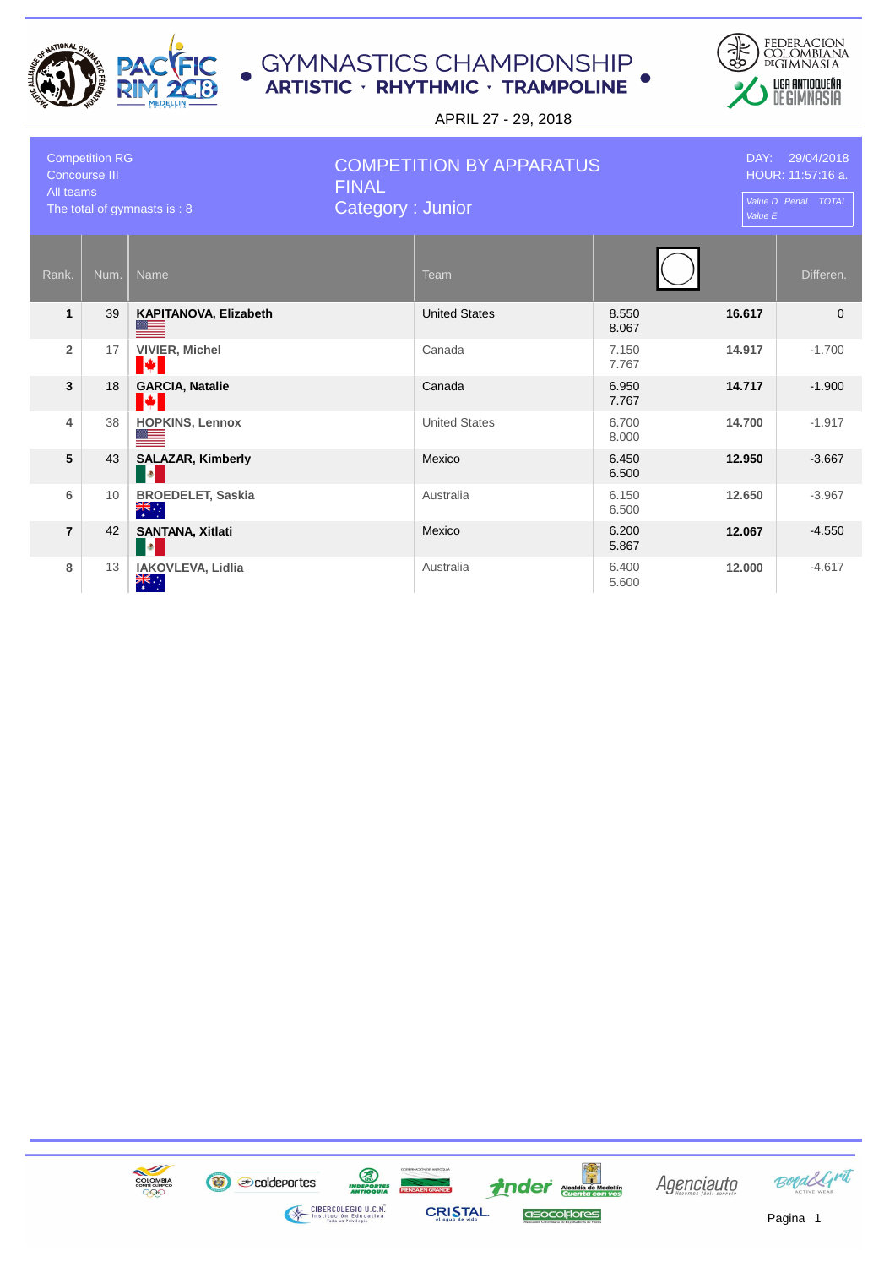



| <b>Competition RG</b><br><b>Concourse III</b><br>All teams<br>The total of gymnasts is: 8 |      | <b>COMPETITION BY APPARATUS</b><br><b>FINAL</b><br>Category: Junior |           |                      | DAY: 29/04/2018<br>HOUR: 11:57:16 a.<br>Value D Penal. TOTAL<br>Value E |        |           |
|-------------------------------------------------------------------------------------------|------|---------------------------------------------------------------------|-----------|----------------------|-------------------------------------------------------------------------|--------|-----------|
| Rank.                                                                                     | Num. | <b>Name</b>                                                         | Team      |                      |                                                                         |        | Differen. |
| $\mathbf{1}$                                                                              | 39   | KAPITANOVA, Elizabeth<br><u> a</u>                                  |           | <b>United States</b> | 8.550<br>8.067                                                          | 16.617 | $\Omega$  |
| $\overline{2}$                                                                            | 17   | <b>VIVIER, Michel</b><br><b>Maria</b>                               | Canada    |                      | 7.150<br>7.767                                                          | 14.917 | $-1.700$  |
| 3                                                                                         | 18   | <b>GARCIA, Natalie</b><br>M                                         | Canada    |                      | 6.950<br>7.767                                                          | 14.717 | $-1.900$  |
| 4                                                                                         | 38   | <b>HOPKINS, Lennox</b>                                              |           | <b>United States</b> | 6.700<br>8.000                                                          | 14.700 | $-1.917$  |
| 5                                                                                         | 43   | <b>SALAZAR, Kimberly</b><br>$\bullet$                               | Mexico    |                      | 6.450<br>6.500                                                          | 12.950 | $-3.667$  |
| 6                                                                                         | 10   | <b>BROEDELET, Saskia</b><br>$\frac{1}{\sqrt{2}}$                    | Australia |                      | 6.150<br>6.500                                                          | 12.650 | $-3.967$  |
| $\overline{7}$                                                                            | 42   | <b>SANTANA, Xitlati</b><br>$\bullet$                                | Mexico    |                      | 6.200<br>5.867                                                          | 12.067 | $-4.550$  |
| 8                                                                                         | 13   | IAKOVLEVA, Lidlia<br>$\frac{1}{\sqrt{K}}$                           | Australia |                      | 6.400<br>5.600                                                          | 12.000 | $-4.617$  |

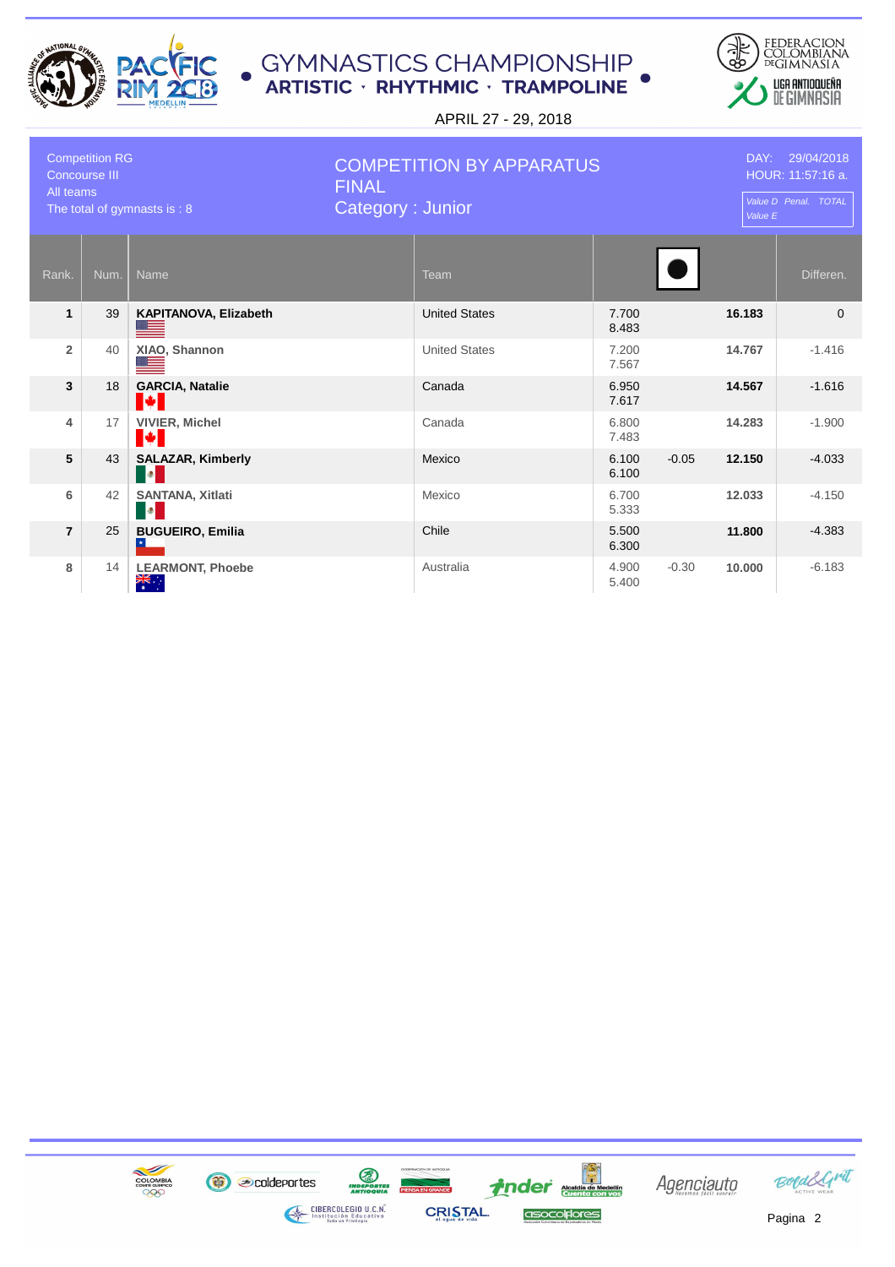



| <b>Competition RG</b><br><b>Concourse III</b><br>All teams<br>The total of gymnasts is: 8 |      | <b>COMPETITION BY APPARATUS</b><br><b>FINAL</b><br>Category: Junior |  |                      |                | DAY: 29/04/2018<br>HOUR: 11:57:16 a.<br>Value D Penal. TOTAL<br>Value E |        |           |
|-------------------------------------------------------------------------------------------|------|---------------------------------------------------------------------|--|----------------------|----------------|-------------------------------------------------------------------------|--------|-----------|
| Rank.                                                                                     | Num. | <b>Name</b>                                                         |  | <b>Team</b>          |                |                                                                         |        | Differen. |
| $\mathbf{1}$                                                                              | 39   | KAPITANOVA, Elizabeth                                               |  | <b>United States</b> | 7.700<br>8.483 |                                                                         | 16.183 | $\Omega$  |
| $\overline{2}$                                                                            | 40   | XIAO, Shannon                                                       |  | <b>United States</b> | 7.200<br>7.567 |                                                                         | 14.767 | $-1.416$  |
| 3                                                                                         | 18   | <b>GARCIA, Natalie</b><br>I÷.                                       |  | Canada               | 6.950<br>7.617 |                                                                         | 14.567 | $-1.616$  |
| 4                                                                                         | 17   | <b>VIVIER, Michel</b><br>H                                          |  | Canada               | 6.800<br>7.483 |                                                                         | 14.283 | $-1.900$  |
| 5                                                                                         | 43   | <b>SALAZAR, Kimberly</b><br>$\bullet$                               |  | Mexico               | 6.100<br>6.100 | $-0.05$                                                                 | 12.150 | $-4.033$  |
| 6                                                                                         | 42   | <b>SANTANA, Xitlati</b><br>$\bullet$                                |  | Mexico               | 6.700<br>5.333 |                                                                         | 12.033 | $-4.150$  |
| $\overline{7}$                                                                            | 25   | <b>BUGUEIRO, Emilia</b>                                             |  | Chile                | 5.500<br>6.300 |                                                                         | 11.800 | $-4.383$  |
| 8                                                                                         | 14   | <b>LEARMONT, Phoebe</b><br>$\frac{1}{\sqrt{K}}$                     |  | Australia            | 4.900<br>5.400 | $-0.30$                                                                 | 10,000 | $-6.183$  |

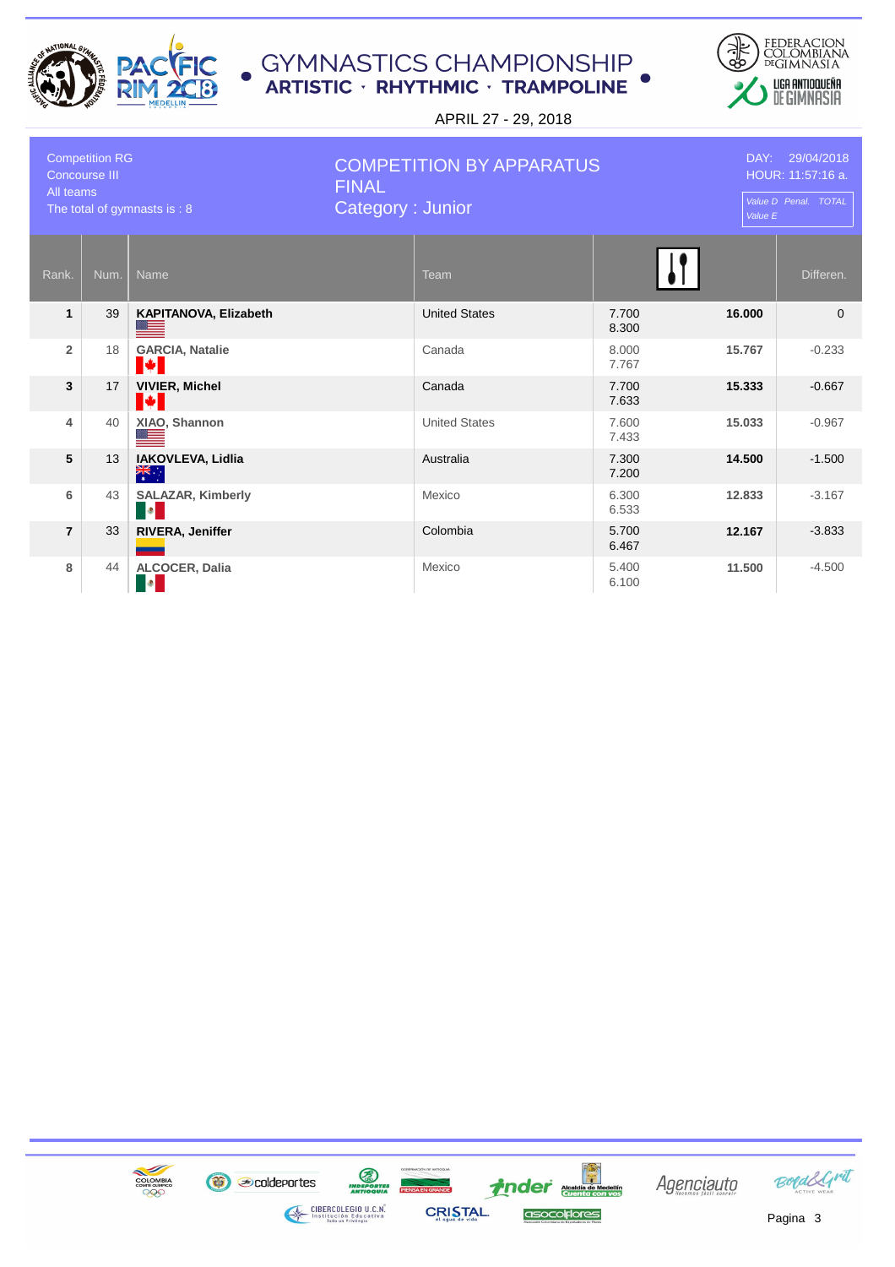



| <b>Competition RG</b><br><b>Concourse III</b><br>All teams<br>The total of gymnasts is : 8 |      | <b>COMPETITION BY APPARATUS</b><br><b>FINAL</b><br>Category: Junior |  |                      |                | DAY: 29/04/2018<br>HOUR: 11:57:16 a.<br>Value D Penal. TOTAL<br>Value E |           |  |
|--------------------------------------------------------------------------------------------|------|---------------------------------------------------------------------|--|----------------------|----------------|-------------------------------------------------------------------------|-----------|--|
| Rank.                                                                                      | Num. | <b>Name</b>                                                         |  | Team                 |                |                                                                         | Differen. |  |
| $\mathbf{1}$                                                                               | 39   | KAPITANOVA, Elizabeth                                               |  | <b>United States</b> | 7.700<br>8.300 | 16.000                                                                  | $\Omega$  |  |
| $\overline{2}$                                                                             | 18   | <b>GARCIA, Natalie</b><br>I¥I                                       |  | Canada               | 8.000<br>7.767 | 15.767                                                                  | $-0.233$  |  |
| 3                                                                                          | 17   | <b>VIVIER, Michel</b><br>I÷.                                        |  | Canada               | 7.700<br>7.633 | 15.333                                                                  | $-0.667$  |  |
| 4                                                                                          | 40   | XIAO, Shannon<br>⇚                                                  |  | <b>United States</b> | 7.600<br>7.433 | 15.033                                                                  | $-0.967$  |  |
| 5                                                                                          | 13   | IAKOVLEVA, Lidlia<br>$\frac{1}{\sqrt{2}}$                           |  | Australia            | 7.300<br>7.200 | 14.500                                                                  | $-1.500$  |  |
| 6                                                                                          | 43   | <b>SALAZAR, Kimberly</b><br><b>D</b>                                |  | Mexico               | 6.300<br>6.533 | 12.833                                                                  | $-3.167$  |  |
| $\overline{7}$                                                                             | 33   | RIVERA, Jeniffer                                                    |  | Colombia             | 5.700<br>6.467 | 12.167                                                                  | $-3.833$  |  |
| 8                                                                                          | 44   | <b>ALCOCER, Dalia</b><br>$ \bullet $                                |  | Mexico               | 5.400<br>6.100 | 11.500                                                                  | $-4.500$  |  |